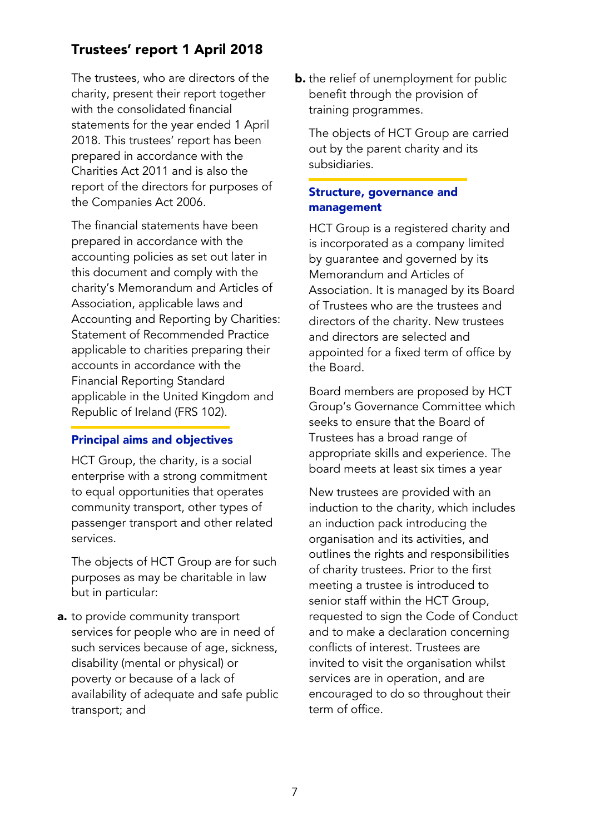# Trustees' report 1 April 2018

The trustees, who are directors of the charity, present their report together with the consolidated financial statements for the year ended 1 April 2018. This trustees' report has been prepared in accordance with the Charities Act 2011 and is also the report of the directors for purposes of the Companies Act 2006.

The financial statements have been prepared in accordance with the accounting policies as set out later in this document and comply with the charity's Memorandum and Articles of Association, applicable laws and Accounting and Reporting by Charities: Statement of Recommended Practice applicable to charities preparing their accounts in accordance with the Financial Reporting Standard applicable in the United Kingdom and Republic of Ireland (FRS 102).

#### Principal aims and objectives

HCT Group, the charity, is a social enterprise with a strong commitment to equal opportunities that operates community transport, other types of passenger transport and other related services.

The objects of HCT Group are for such purposes as may be charitable in law but in particular:

a. to provide community transport services for people who are in need of such services because of age, sickness, disability (mental or physical) or poverty or because of a lack of availability of adequate and safe public transport; and

**b.** the relief of unemployment for public benefit through the provision of training programmes.

The objects of HCT Group are carried out by the parent charity and its subsidiaries.

#### Structure, governance and management

HCT Group is a registered charity and is incorporated as a company limited by guarantee and governed by its Memorandum and Articles of Association. It is managed by its Board of Trustees who are the trustees and directors of the charity. New trustees and directors are selected and appointed for a fixed term of office by the Board.

Board members are proposed by HCT Group's Governance Committee which seeks to ensure that the Board of Trustees has a broad range of appropriate skills and experience. The board meets at least six times a year

New trustees are provided with an induction to the charity, which includes an induction pack introducing the organisation and its activities, and outlines the rights and responsibilities of charity trustees. Prior to the first meeting a trustee is introduced to senior staff within the HCT Group, requested to sign the Code of Conduct and to make a declaration concerning conflicts of interest. Trustees are invited to visit the organisation whilst services are in operation, and are encouraged to do so throughout their term of office.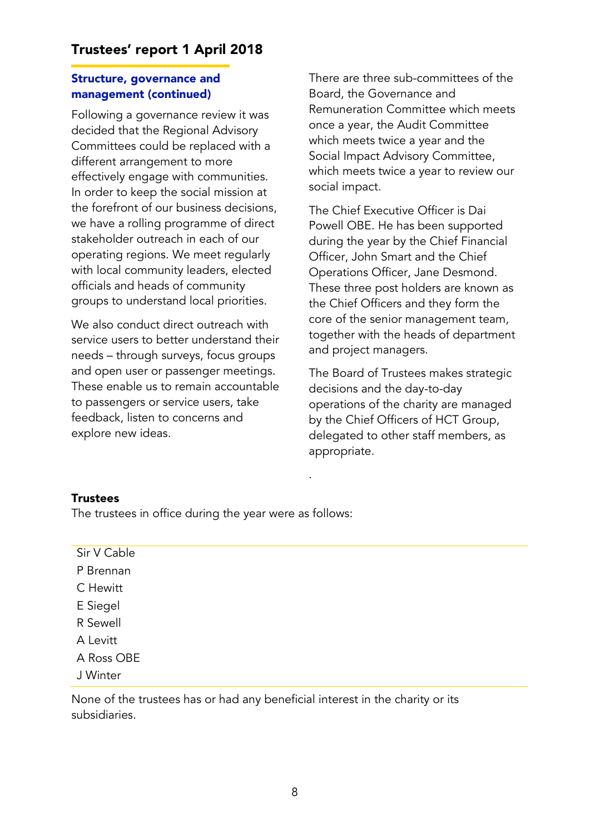## Structure, governance and management (continued)

Following a governance review it was decided that the Regional Advisory Committees could be replaced with a different arrangement to more effectively engage with communities. In order to keep the social mission at the forefront of our business decisions, we have a rolling programme of direct stakeholder outreach in each of our operating regions. We meet regularly with local community leaders, elected officials and heads of community groups to understand local priorities.

We also conduct direct outreach with service users to better understand their needs – through surveys, focus groups and open user or passenger meetings. These enable us to remain accountable to passengers or service users, take feedback, listen to concerns and explore new ideas.

There are three sub-committees of the Board, the Governance and Remuneration Committee which meets once a year, the Audit Committee which meets twice a year and the Social Impact Advisory Committee, which meets twice a year to review our social impact.

The Chief Executive Officer is Dai Powell OBE. He has been supported during the year by the Chief Financial Officer, John Smart and the Chief Operations Officer, Jane Desmond. These three post holders are known as the Chief Officers and they form the core of the senior management team, together with the heads of department and project managers.

The Board of Trustees makes strategic decisions and the day-to-day operations of the charity are managed by the Chief Officers of HCT Group, delegated to other staff members, as appropriate.

## **Trustees**

The trustees in office during the year were as follows:

| Sir V Cable |  |
|-------------|--|
| P Brennan   |  |
| C Hewitt    |  |
| E Siegel    |  |
| R Sewell    |  |
| A Levitt    |  |
| A Ross OBE  |  |
| J Winter    |  |

.

None of the trustees has or had any beneficial interest in the charity or its subsidiaries.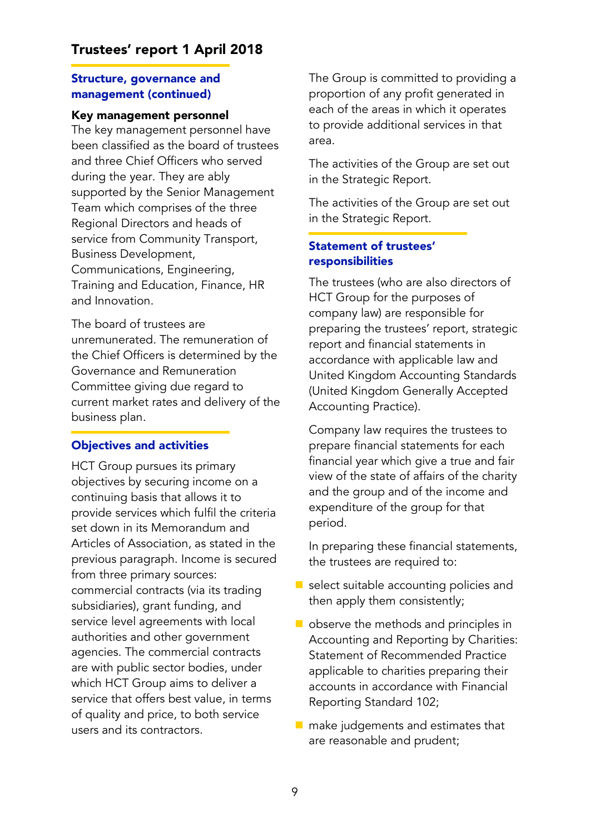### Structure, governance and management (continued)

#### Key management personnel

The key management personnel have been classified as the board of trustees and three Chief Officers who served during the year. They are ably supported by the Senior Management Team which comprises of the three Regional Directors and heads of service from Community Transport, Business Development, Communications, Engineering, Training and Education, Finance, HR and Innovation.

The board of trustees are unremunerated. The remuneration of the Chief Officers is determined by the Governance and Remuneration Committee giving due regard to current market rates and delivery of the business plan.

## Objectives and activities

HCT Group pursues its primary objectives by securing income on a continuing basis that allows it to provide services which fulfil the criteria set down in its Memorandum and Articles of Association, as stated in the previous paragraph. Income is secured from three primary sources: commercial contracts (via its trading subsidiaries), grant funding, and service level agreements with local authorities and other government agencies. The commercial contracts are with public sector bodies, under which HCT Group aims to deliver a service that offers best value, in terms of quality and price, to both service users and its contractors.

The Group is committed to providing a proportion of any profit generated in each of the areas in which it operates to provide additional services in that area.

The activities of the Group are set out in the Strategic Report.

The activities of the Group are set out in the Strategic Report.

# Statement of trustees' responsibilities

The trustees (who are also directors of HCT Group for the purposes of company law) are responsible for preparing the trustees' report, strategic report and financial statements in accordance with applicable law and United Kingdom Accounting Standards (United Kingdom Generally Accepted Accounting Practice).

Company law requires the trustees to prepare financial statements for each financial year which give a true and fair view of the state of affairs of the charity and the group and of the income and expenditure of the group for that period.

In preparing these financial statements, the trustees are required to:

- select suitable accounting policies and then apply them consistently;
- observe the methods and principles in Accounting and Reporting by Charities: Statement of Recommended Practice applicable to charities preparing their accounts in accordance with Financial Reporting Standard 102;
- $\blacksquare$  make judgements and estimates that are reasonable and prudent;